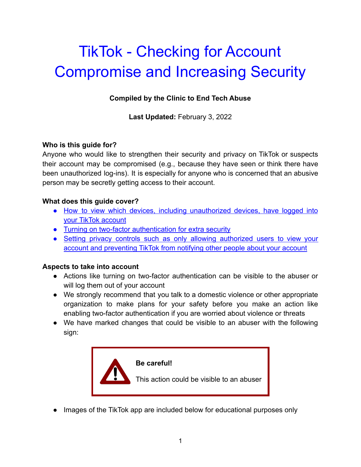# TikTok - Checking for Account Compromise and Increasing Security

#### **Compiled by the Clinic to End Tech Abuse**

**Last Updated:** February 3, 2022

#### **Who is this guide for?**

Anyone who would like to strengthen their security and privacy on TikTok or suspects their account may be compromised (e.g., because they have seen or think there have been unauthorized log-ins). It is especially for anyone who is concerned that an abusive person may be secretly getting access to their account.

#### **What does this guide cover?**

- How to view which devices, including [unauthorized](#page-1-0) devices, have logged into [your TikTok account](#page-1-0)
- [Turning on two-factor authentication for extra security](#page-3-0)
- Setting privacy controls such as only allowing [authorized](#page-5-0) users to view your [account and preventing TikTok from notifying other people about your account](#page-5-0)

#### **Aspects to take into account**

- Actions like turning on two-factor authentication can be visible to the abuser or will log them out of your account
- We strongly recommend that you talk to a domestic violence or other appropriate organization to make plans for your safety before you make an action like enabling two-factor authentication if you are worried about violence or threats
- We have marked changes that could be visible to an abuser with the following sign:



● Images of the TikTok app are included below for educational purposes only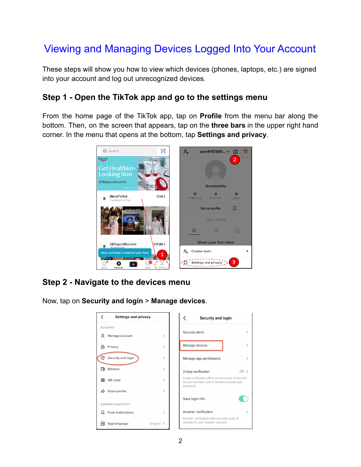# <span id="page-1-0"></span>Viewing and Managing Devices Logged Into Your Account

These steps will show you how to view which devices (phones, laptops, etc.) are signed into your account and log out unrecognized devices.

## **Step 1 - Open the TikTok app and go to the settings menu**

From the home page of the TikTok app, tap on **Profile** from the menu bar along the bottom. Then, on the screen that appears, tap on the **three bars** in the upper right hand corner. In the menu that opens at the bottom, tap **Settings and privacy**.



# **Step 2 - Navigate to the devices menu**

Now, tap on **Security and login** > **Manage devices**.

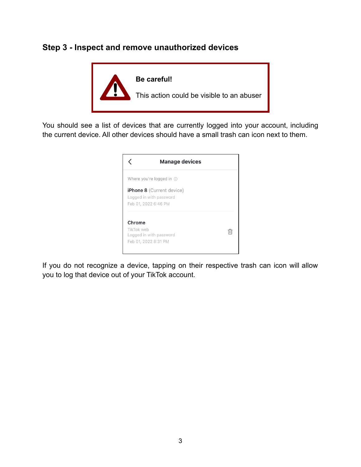#### **Step 3 - Inspect and remove unauthorized devices**



You should see a list of devices that are currently logged into your account, including the current device. All other devices should have a small trash can icon next to them.



If you do not recognize a device, tapping on their respective trash can icon will allow you to log that device out of your TikTok account.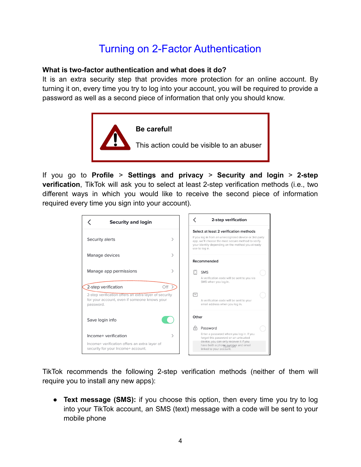# Turning on 2-Factor Authentication

#### <span id="page-3-0"></span>**What is two-factor authentication and what does it do?**

It is an extra security step that provides more protection for an online account. By turning it on, every time you try to log into your account, you will be required to provide a password as well as a second piece of information that only you should know.



If you go to **Profile** > **Settings and privacy** > **Security and login** > **2-step verification**, TikTok will ask you to select at least 2-step verification methods (i.e., two different ways in which you would like to receive the second piece of information required every time you sign into your account).



TikTok recommends the following 2-step verification methods (neither of them will require you to install any new apps):

● **Text message (SMS):** if you choose this option, then every time you try to log into your TikTok account, an SMS (text) message with a code will be sent to your mobile phone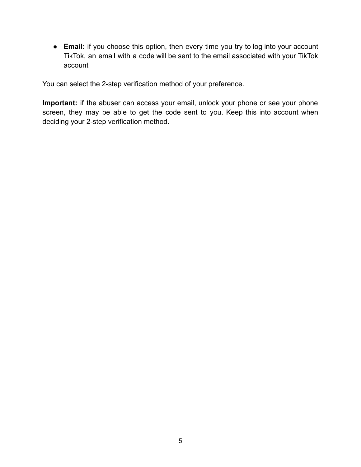● **Email:** if you choose this option, then every time you try to log into your account TikTok, an email with a code will be sent to the email associated with your TikTok account

You can select the 2-step verification method of your preference.

**Important:** if the abuser can access your email, unlock your phone or see your phone screen, they may be able to get the code sent to you. Keep this into account when deciding your 2-step verification method.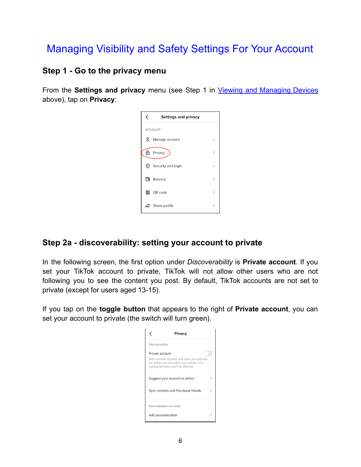# <span id="page-5-0"></span>Managing Visibility and Safety Settings For Your Account

### **Step 1 - Go to the privacy menu**

From the **Settings and privacy** menu (see Step 1 in Viewing and [Managing](#page-1-0) Devices above), tap on **Privacy**:

| く              | <b>Settings and privacy</b> |               |  |
|----------------|-----------------------------|---------------|--|
| <b>ACCOUNT</b> |                             |               |  |
| $\sim$         | Manage account              | $\mathcal{E}$ |  |
| டி             | Privacy                     | $\mathcal{E}$ |  |
| ♡              | Security and login          | $\mathcal{E}$ |  |
| 日              | <b>Balance</b>              | $\mathcal{E}$ |  |
| 嘂              | QR code                     | $\mathcal{P}$ |  |
|                | Share profile               |               |  |

## **Step 2a - discoverability: setting your account to private**

In the following screen, the first option under *Discoverability* is **Private account**. If you set your TikTok account to private, TikTok will not allow other users who are not following you to see the content you post. By default, TikTok accounts are not set to private (except for users aged 13-15).

If you tap on the **toggle button** that appears to the right of **Private account**, you can set your account to private (the switch will turn green).

| Privacy                                                                                                                                                  |  |  |  |
|----------------------------------------------------------------------------------------------------------------------------------------------------------|--|--|--|
| Discoverability                                                                                                                                          |  |  |  |
| Private account<br>With a private account, only users you approve<br>can follow you and watch your videos. Your<br>existing followers won't be affected. |  |  |  |
| Suggest your account to others                                                                                                                           |  |  |  |
| Sync contacts and Facebook friends                                                                                                                       |  |  |  |
| Personalization and data                                                                                                                                 |  |  |  |
| Ads personalization                                                                                                                                      |  |  |  |